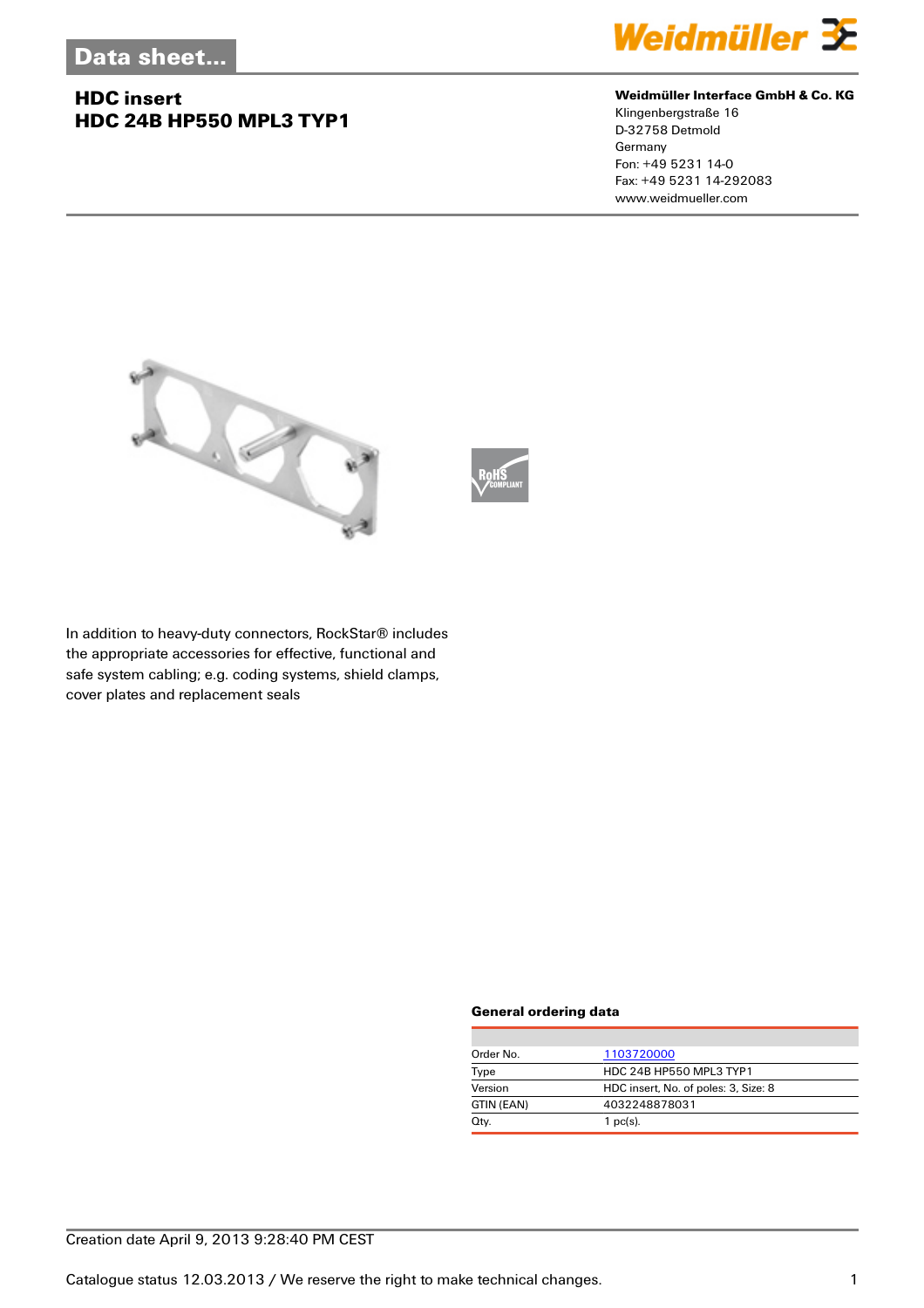## **HDC insert HDC 24B HP550 MPL3 TYP1**



#### **Weidmüller Interface GmbH & Co. KG**

Klingenbergstraße 16 D-32758 Detmold Germany Fon: +49 5231 14-0 Fax: +49 5231 14-292083 www.weidmueller.com





In addition to heavy-duty connectors, RockStar® includes the appropriate accessories for effective, functional and safe system cabling; e.g. coding systems, shield clamps, cover plates and replacement seals

#### **General ordering data**

| Order No.  | 1103720000                           |  |
|------------|--------------------------------------|--|
| Type       | HDC 24B HP550 MPL3 TYP1              |  |
| Version    | HDC insert, No. of poles: 3, Size: 8 |  |
| GTIN (EAN) | 4032248878031                        |  |
| Qty.       | $1$ pc(s).                           |  |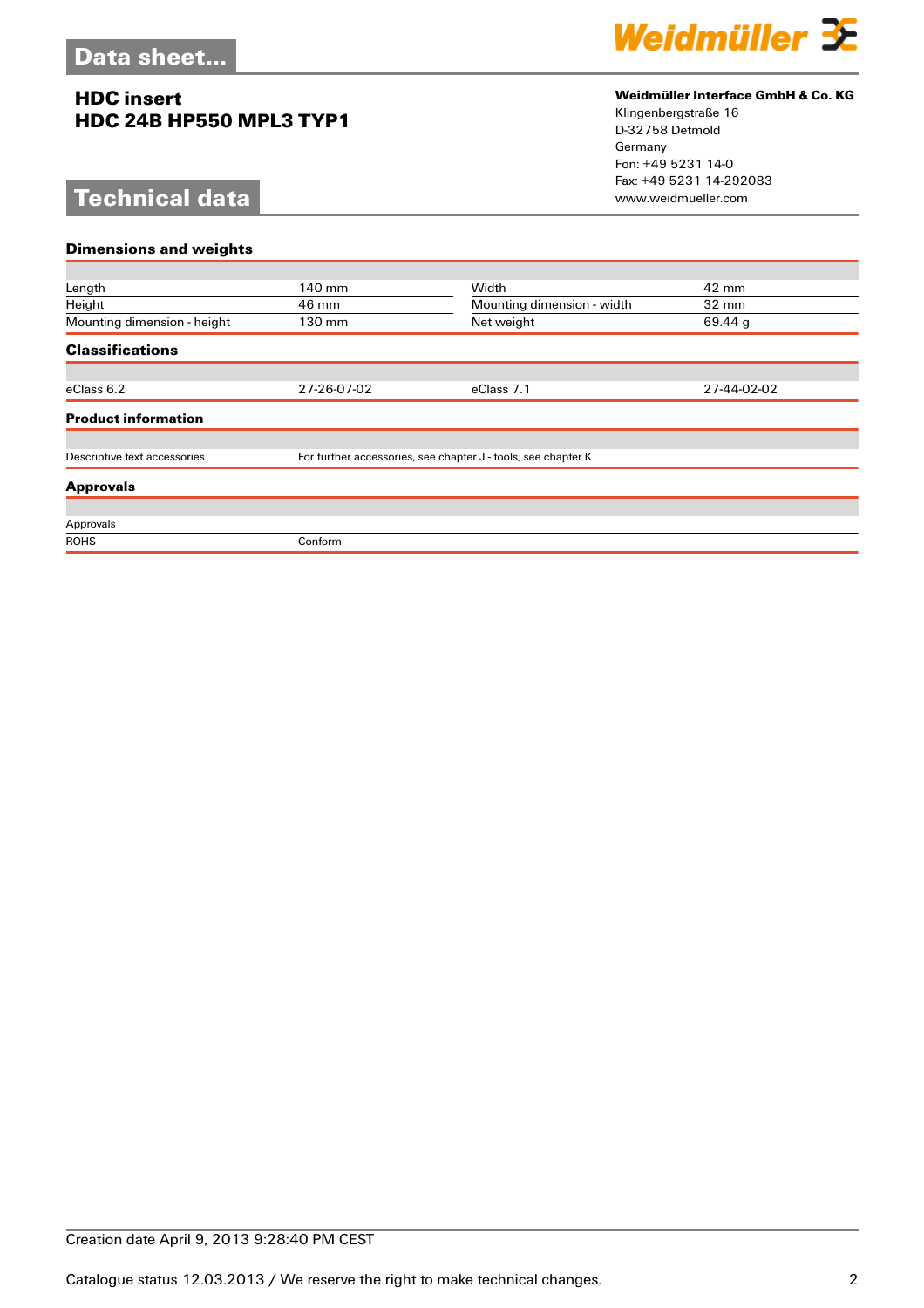## **HDC insert HDC 24B HP550 MPL3 TYP1**

# **Technical data**



### **Weidmüller Interface GmbH & Co. KG**

Klingenbergstraße 16 D-32758 Detmold Germany Fon: +49 5231 14-0 Fax: +49 5231 14-292083

| <b>Dimensions and weights</b> |                                                               |                            |                 |
|-------------------------------|---------------------------------------------------------------|----------------------------|-----------------|
|                               |                                                               |                            |                 |
| Length                        | 140 mm                                                        | Width                      | 42 mm           |
| Height                        | 46 mm                                                         | Mounting dimension - width | $32 \text{ mm}$ |
| Mounting dimension - height   | 130 mm                                                        | Net weight                 | 69.44 g         |
| <b>Classifications</b>        |                                                               |                            |                 |
|                               |                                                               |                            |                 |
| eClass 6.2                    | 27-26-07-02                                                   | eClass 7.1                 | 27-44-02-02     |
| <b>Product information</b>    |                                                               |                            |                 |
|                               |                                                               |                            |                 |
| Descriptive text accessories  | For further accessories, see chapter J - tools, see chapter K |                            |                 |
| <b>Approvals</b>              |                                                               |                            |                 |
|                               |                                                               |                            |                 |
| Approvals                     |                                                               |                            |                 |
| <b>ROHS</b>                   | Conform                                                       |                            |                 |